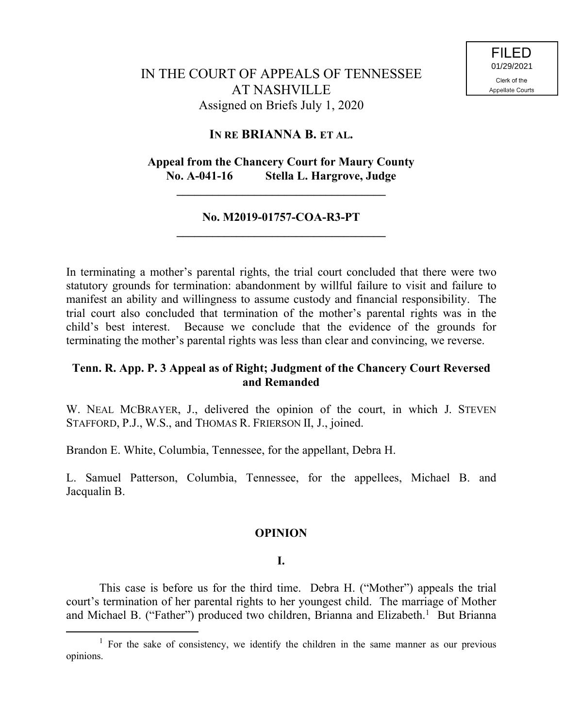# IN THE COURT OF APPEALS OF TENNESSEE AT NASHVILLE Assigned on Briefs July 1, 2020

# **IN RE BRIANNA B. ET AL.**

# **Appeal from the Chancery Court for Maury County No. A-041-16 Stella L. Hargrove, Judge**

**\_\_\_\_\_\_\_\_\_\_\_\_\_\_\_\_\_\_\_\_\_\_\_\_\_\_\_\_\_\_\_\_\_\_\_**

### **No. M2019-01757-COA-R3-PT \_\_\_\_\_\_\_\_\_\_\_\_\_\_\_\_\_\_\_\_\_\_\_\_\_\_\_\_\_\_\_\_\_\_\_**

In terminating a mother's parental rights, the trial court concluded that there were two statutory grounds for termination: abandonment by willful failure to visit and failure to manifest an ability and willingness to assume custody and financial responsibility. The trial court also concluded that termination of the mother's parental rights was in the child's best interest. Because we conclude that the evidence of the grounds for terminating the mother's parental rights was less than clear and convincing, we reverse.

# **Tenn. R. App. P. 3 Appeal as of Right; Judgment of the Chancery Court Reversed and Remanded**

W. NEAL MCBRAYER, J., delivered the opinion of the court, in which J. STEVEN STAFFORD, P.J., W.S., and THOMAS R. FRIERSON II, J., joined.

Brandon E. White, Columbia, Tennessee, for the appellant, Debra H.

L. Samuel Patterson, Columbia, Tennessee, for the appellees, Michael B. and Jacqualin B.

### **OPINION**

### **I.**

This case is before us for the third time. Debra H. ("Mother") appeals the trial court's termination of her parental rights to her youngest child. The marriage of Mother and Michael B. ("Father") produced two children, Brianna and Elizabeth.<sup>1</sup> But Brianna

<sup>&</sup>lt;sup>1</sup> For the sake of consistency, we identify the children in the same manner as our previous opinions.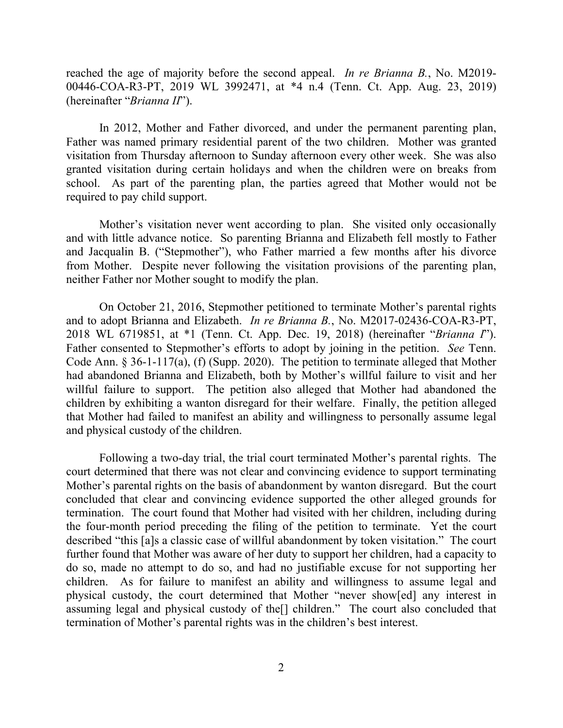reached the age of majority before the second appeal. *In re Brianna B.*, No. M2019- 00446-COA-R3-PT, 2019 WL 3992471, at \*4 n.4 (Tenn. Ct. App. Aug. 23, 2019) (hereinafter "*Brianna II*").

In 2012, Mother and Father divorced, and under the permanent parenting plan, Father was named primary residential parent of the two children. Mother was granted visitation from Thursday afternoon to Sunday afternoon every other week. She was also granted visitation during certain holidays and when the children were on breaks from school. As part of the parenting plan, the parties agreed that Mother would not be required to pay child support.

Mother's visitation never went according to plan. She visited only occasionally and with little advance notice. So parenting Brianna and Elizabeth fell mostly to Father and Jacqualin B. ("Stepmother"), who Father married a few months after his divorce from Mother. Despite never following the visitation provisions of the parenting plan, neither Father nor Mother sought to modify the plan.

On October 21, 2016, Stepmother petitioned to terminate Mother's parental rights and to adopt Brianna and Elizabeth. *In re Brianna B.*, No. M2017-02436-COA-R3-PT, 2018 WL 6719851, at \*1 (Tenn. Ct. App. Dec. 19, 2018) (hereinafter "*Brianna I*"). Father consented to Stepmother's efforts to adopt by joining in the petition. *See* Tenn. Code Ann. § 36-1-117(a), (f) (Supp. 2020). The petition to terminate alleged that Mother had abandoned Brianna and Elizabeth, both by Mother's willful failure to visit and her willful failure to support. The petition also alleged that Mother had abandoned the children by exhibiting a wanton disregard for their welfare. Finally, the petition alleged that Mother had failed to manifest an ability and willingness to personally assume legal and physical custody of the children.

Following a two-day trial, the trial court terminated Mother's parental rights. The court determined that there was not clear and convincing evidence to support terminating Mother's parental rights on the basis of abandonment by wanton disregard. But the court concluded that clear and convincing evidence supported the other alleged grounds for termination. The court found that Mother had visited with her children, including during the four-month period preceding the filing of the petition to terminate. Yet the court described "this [a]s a classic case of willful abandonment by token visitation." The court further found that Mother was aware of her duty to support her children, had a capacity to do so, made no attempt to do so, and had no justifiable excuse for not supporting her children. As for failure to manifest an ability and willingness to assume legal and physical custody, the court determined that Mother "never show[ed] any interest in assuming legal and physical custody of the[] children." The court also concluded that termination of Mother's parental rights was in the children's best interest.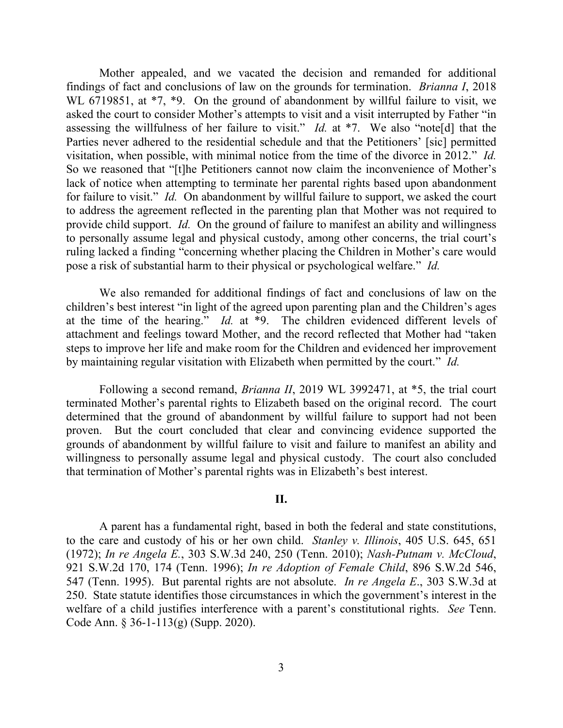Mother appealed, and we vacated the decision and remanded for additional findings of fact and conclusions of law on the grounds for termination. *Brianna I*, 2018 WL 6719851, at  $*7$ ,  $*9$ . On the ground of abandonment by willful failure to visit, we asked the court to consider Mother's attempts to visit and a visit interrupted by Father "in assessing the willfulness of her failure to visit." *Id.* at \*7. We also "note[d] that the Parties never adhered to the residential schedule and that the Petitioners' [sic] permitted visitation, when possible, with minimal notice from the time of the divorce in 2012." *Id.* So we reasoned that "[t]he Petitioners cannot now claim the inconvenience of Mother's lack of notice when attempting to terminate her parental rights based upon abandonment for failure to visit." *Id.* On abandonment by willful failure to support, we asked the court to address the agreement reflected in the parenting plan that Mother was not required to provide child support. *Id.* On the ground of failure to manifest an ability and willingness to personally assume legal and physical custody, among other concerns, the trial court's ruling lacked a finding "concerning whether placing the Children in Mother's care would pose a risk of substantial harm to their physical or psychological welfare." *Id.*

We also remanded for additional findings of fact and conclusions of law on the children's best interest "in light of the agreed upon parenting plan and the Children's ages at the time of the hearing." *Id.* at \*9. The children evidenced different levels of attachment and feelings toward Mother, and the record reflected that Mother had "taken steps to improve her life and make room for the Children and evidenced her improvement by maintaining regular visitation with Elizabeth when permitted by the court." *Id.*

Following a second remand, *Brianna II*, 2019 WL 3992471, at \*5, the trial court terminated Mother's parental rights to Elizabeth based on the original record. The court determined that the ground of abandonment by willful failure to support had not been proven. But the court concluded that clear and convincing evidence supported the grounds of abandonment by willful failure to visit and failure to manifest an ability and willingness to personally assume legal and physical custody. The court also concluded that termination of Mother's parental rights was in Elizabeth's best interest.

#### **II.**

A parent has a fundamental right, based in both the federal and state constitutions, to the care and custody of his or her own child. *Stanley v. Illinois*, 405 U.S. 645, 651 (1972); *In re Angela E.*, 303 S.W.3d 240, 250 (Tenn. 2010); *Nash-Putnam v. McCloud*, 921 S.W.2d 170, 174 (Tenn. 1996); *In re Adoption of Female Child*, 896 S.W.2d 546, 547 (Tenn. 1995). But parental rights are not absolute. *In re Angela E*., 303 S.W.3d at 250. State statute identifies those circumstances in which the government's interest in the welfare of a child justifies interference with a parent's constitutional rights. *See* Tenn. Code Ann. § 36-1-113(g) (Supp. 2020).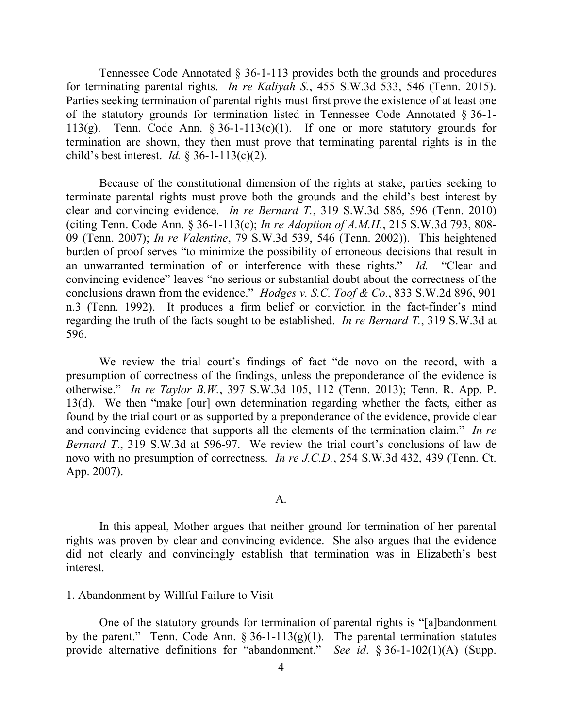Tennessee Code Annotated § 36-1-113 provides both the grounds and procedures for terminating parental rights. *In re Kaliyah S.*, 455 S.W.3d 533, 546 (Tenn. 2015). Parties seeking termination of parental rights must first prove the existence of at least one of the statutory grounds for termination listed in Tennessee Code Annotated § 36-1- 113(g). Tenn. Code Ann.  $\S 36$ -1-113(c)(1). If one or more statutory grounds for termination are shown, they then must prove that terminating parental rights is in the child's best interest. *Id.* § 36-1-113(c)(2).

Because of the constitutional dimension of the rights at stake, parties seeking to terminate parental rights must prove both the grounds and the child's best interest by clear and convincing evidence. *In re Bernard T.*, 319 S.W.3d 586, 596 (Tenn. 2010) (citing Tenn. Code Ann. § 36-1-113(c); *In re Adoption of A.M.H.*, 215 S.W.3d 793, 808- 09 (Tenn. 2007); *In re Valentine*, 79 S.W.3d 539, 546 (Tenn. 2002)). This heightened burden of proof serves "to minimize the possibility of erroneous decisions that result in an unwarranted termination of or interference with these rights." *Id.* "Clear and convincing evidence" leaves "no serious or substantial doubt about the correctness of the conclusions drawn from the evidence." *Hodges v. S.C. Toof & Co.*, 833 S.W.2d 896, 901 n.3 (Tenn. 1992). It produces a firm belief or conviction in the fact-finder's mind regarding the truth of the facts sought to be established. *In re Bernard T.*, 319 S.W.3d at 596.

We review the trial court's findings of fact "de novo on the record, with a presumption of correctness of the findings, unless the preponderance of the evidence is otherwise." *In re Taylor B.W.*, 397 S.W.3d 105, 112 (Tenn. 2013); Tenn. R. App. P. 13(d). We then "make [our] own determination regarding whether the facts, either as found by the trial court or as supported by a preponderance of the evidence, provide clear and convincing evidence that supports all the elements of the termination claim." *In re Bernard T*., 319 S.W.3d at 596-97. We review the trial court's conclusions of law de novo with no presumption of correctness. *In re J.C.D.*, 254 S.W.3d 432, 439 (Tenn. Ct. App. 2007).

#### A.

In this appeal, Mother argues that neither ground for termination of her parental rights was proven by clear and convincing evidence. She also argues that the evidence did not clearly and convincingly establish that termination was in Elizabeth's best interest.

#### 1. Abandonment by Willful Failure to Visit

One of the statutory grounds for termination of parental rights is "[a]bandonment by the parent." Tenn. Code Ann.  $\S 36$ -1-113(g)(1). The parental termination statutes provide alternative definitions for "abandonment." *See id*. § 36-1-102(1)(A) (Supp.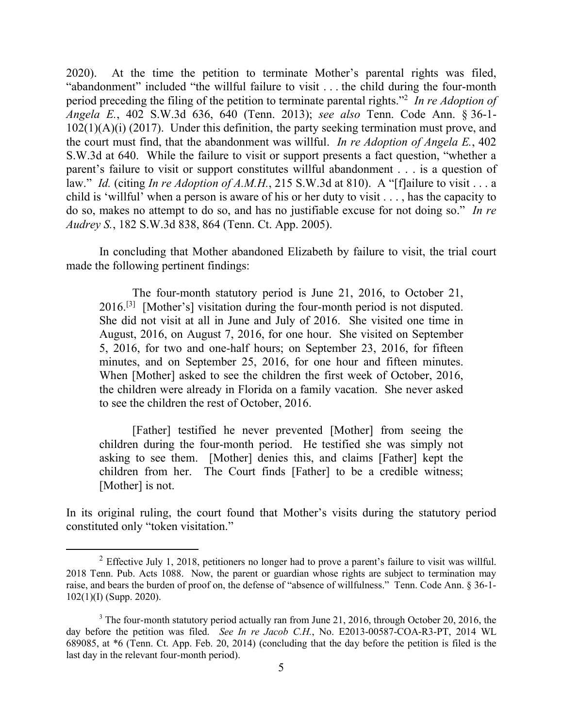2020). At the time the petition to terminate Mother's parental rights was filed, "abandonment" included "the willful failure to visit . . . the child during the four-month period preceding the filing of the petition to terminate parental rights."<sup>2</sup> *In re Adoption of Angela E.*, 402 S.W.3d 636, 640 (Tenn. 2013); *see also* Tenn. Code Ann. § 36-1-  $102(1)(A)(i)$  (2017). Under this definition, the party seeking termination must prove, and the court must find, that the abandonment was willful. *In re Adoption of Angela E.*, 402 S.W.3d at 640. While the failure to visit or support presents a fact question, "whether a parent's failure to visit or support constitutes willful abandonment . . . is a question of law." *Id.* (citing *In re Adoption of A.M.H.*, 215 S.W.3d at 810). A "[f]ailure to visit . . . a child is 'willful' when a person is aware of his or her duty to visit . . . , has the capacity to do so, makes no attempt to do so, and has no justifiable excuse for not doing so." *In re Audrey S.*, 182 S.W.3d 838, 864 (Tenn. Ct. App. 2005).

In concluding that Mother abandoned Elizabeth by failure to visit, the trial court made the following pertinent findings:

The four-month statutory period is June 21, 2016, to October 21,  $2016$ <sup>[3]</sup> [Mother's] visitation during the four-month period is not disputed. She did not visit at all in June and July of 2016. She visited one time in August, 2016, on August 7, 2016, for one hour. She visited on September 5, 2016, for two and one-half hours; on September 23, 2016, for fifteen minutes, and on September 25, 2016, for one hour and fifteen minutes. When [Mother] asked to see the children the first week of October, 2016, the children were already in Florida on a family vacation. She never asked to see the children the rest of October, 2016.

[Father] testified he never prevented [Mother] from seeing the children during the four-month period. He testified she was simply not asking to see them. [Mother] denies this, and claims [Father] kept the children from her. The Court finds [Father] to be a credible witness; [Mother] is not.

In its original ruling, the court found that Mother's visits during the statutory period constituted only "token visitation."

 $\overline{a}$ 

 $2$  Effective July 1, 2018, petitioners no longer had to prove a parent's failure to visit was willful. 2018 Tenn. Pub. Acts 1088. Now, the parent or guardian whose rights are subject to termination may raise, and bears the burden of proof on, the defense of "absence of willfulness." Tenn. Code Ann. § 36-1- 102(1)(I) (Supp. 2020).

 $3$  The four-month statutory period actually ran from June 21, 2016, through October 20, 2016, the day before the petition was filed. *See In re Jacob C.H.*, No. E2013-00587-COA-R3-PT, 2014 WL 689085, at \*6 (Tenn. Ct. App. Feb. 20, 2014) (concluding that the day before the petition is filed is the last day in the relevant four-month period).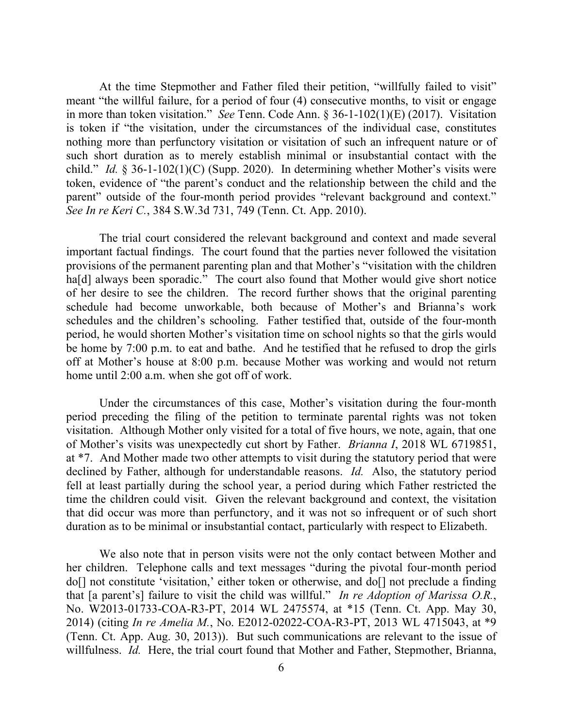At the time Stepmother and Father filed their petition, "willfully failed to visit" meant "the willful failure, for a period of four (4) consecutive months, to visit or engage in more than token visitation." *See* Tenn. Code Ann. § 36-1-102(1)(E) (2017). Visitation is token if "the visitation, under the circumstances of the individual case, constitutes nothing more than perfunctory visitation or visitation of such an infrequent nature or of such short duration as to merely establish minimal or insubstantial contact with the child." *Id.* § 36-1-102(1)(C) (Supp. 2020). In determining whether Mother's visits were token, evidence of "the parent's conduct and the relationship between the child and the parent" outside of the four-month period provides "relevant background and context." *See In re Keri C.*, 384 S.W.3d 731, 749 (Tenn. Ct. App. 2010).

The trial court considered the relevant background and context and made several important factual findings. The court found that the parties never followed the visitation provisions of the permanent parenting plan and that Mother's "visitation with the children ha<sup>[d]</sup> always been sporadic." The court also found that Mother would give short notice of her desire to see the children. The record further shows that the original parenting schedule had become unworkable, both because of Mother's and Brianna's work schedules and the children's schooling. Father testified that, outside of the four-month period, he would shorten Mother's visitation time on school nights so that the girls would be home by 7:00 p.m. to eat and bathe. And he testified that he refused to drop the girls off at Mother's house at 8:00 p.m. because Mother was working and would not return home until 2:00 a.m. when she got off of work.

Under the circumstances of this case, Mother's visitation during the four-month period preceding the filing of the petition to terminate parental rights was not token visitation. Although Mother only visited for a total of five hours, we note, again, that one of Mother's visits was unexpectedly cut short by Father. *Brianna I*, 2018 WL 6719851, at \*7. And Mother made two other attempts to visit during the statutory period that were declined by Father, although for understandable reasons. *Id.* Also, the statutory period fell at least partially during the school year, a period during which Father restricted the time the children could visit. Given the relevant background and context, the visitation that did occur was more than perfunctory, and it was not so infrequent or of such short duration as to be minimal or insubstantial contact, particularly with respect to Elizabeth.

We also note that in person visits were not the only contact between Mother and her children. Telephone calls and text messages "during the pivotal four-month period do[] not constitute 'visitation,' either token or otherwise, and do[] not preclude a finding that [a parent's] failure to visit the child was willful." *In re Adoption of Marissa O.R.*, No. W2013-01733-COA-R3-PT, 2014 WL 2475574, at \*15 (Tenn. Ct. App. May 30, 2014) (citing *In re Amelia M.*, No. E2012-02022-COA-R3-PT, 2013 WL 4715043, at \*9 (Tenn. Ct. App. Aug. 30, 2013)). But such communications are relevant to the issue of willfulness. *Id.* Here, the trial court found that Mother and Father, Stepmother, Brianna,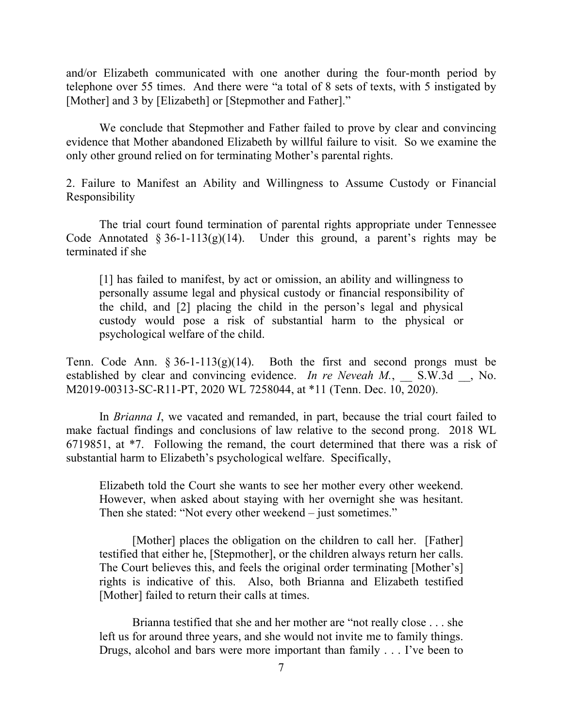and/or Elizabeth communicated with one another during the four-month period by telephone over 55 times. And there were "a total of 8 sets of texts, with 5 instigated by [Mother] and 3 by [Elizabeth] or [Stepmother and Father]."

We conclude that Stepmother and Father failed to prove by clear and convincing evidence that Mother abandoned Elizabeth by willful failure to visit. So we examine the only other ground relied on for terminating Mother's parental rights.

2. Failure to Manifest an Ability and Willingness to Assume Custody or Financial Responsibility

The trial court found termination of parental rights appropriate under Tennessee Code Annotated  $\S 36$ -1-113(g)(14). Under this ground, a parent's rights may be terminated if she

[1] has failed to manifest, by act or omission, an ability and willingness to personally assume legal and physical custody or financial responsibility of the child, and [2] placing the child in the person's legal and physical custody would pose a risk of substantial harm to the physical or psychological welfare of the child.

Tenn. Code Ann.  $\S 36$ -1-113(g)(14). Both the first and second prongs must be established by clear and convincing evidence. *In re Neveah M.*, S.W.3d , No. M2019-00313-SC-R11-PT, 2020 WL 7258044, at \*11 (Tenn. Dec. 10, 2020).

In *Brianna I*, we vacated and remanded, in part, because the trial court failed to make factual findings and conclusions of law relative to the second prong. 2018 WL 6719851, at \*7. Following the remand, the court determined that there was a risk of substantial harm to Elizabeth's psychological welfare. Specifically,

Elizabeth told the Court she wants to see her mother every other weekend. However, when asked about staying with her overnight she was hesitant. Then she stated: "Not every other weekend – just sometimes."

[Mother] places the obligation on the children to call her. [Father] testified that either he, [Stepmother], or the children always return her calls. The Court believes this, and feels the original order terminating [Mother's] rights is indicative of this. Also, both Brianna and Elizabeth testified [Mother] failed to return their calls at times.

Brianna testified that she and her mother are "not really close . . . she left us for around three years, and she would not invite me to family things. Drugs, alcohol and bars were more important than family . . . I've been to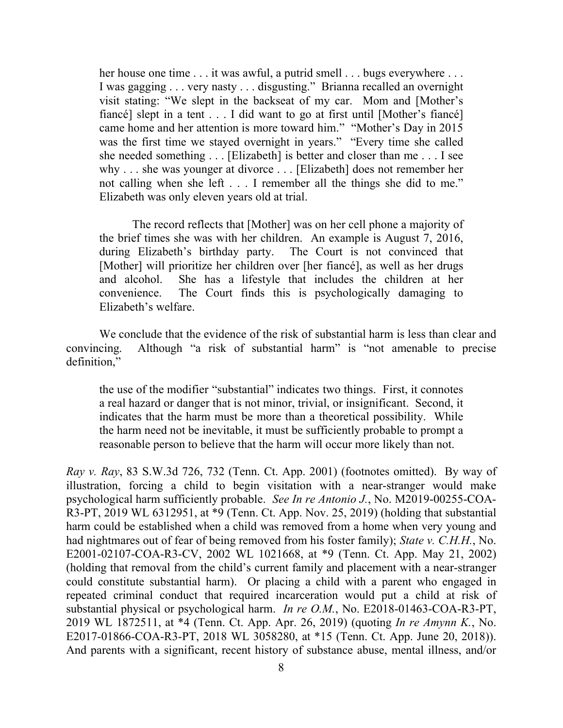her house one time . . . it was awful, a putrid smell . . . bugs everywhere . . . I was gagging . . . very nasty . . . disgusting." Brianna recalled an overnight visit stating: "We slept in the backseat of my car. Mom and [Mother's fiancé] slept in a tent . . . I did want to go at first until [Mother's fiancé] came home and her attention is more toward him." "Mother's Day in 2015 was the first time we stayed overnight in years." "Every time she called she needed something . . . [Elizabeth] is better and closer than me . . . I see why . . . she was younger at divorce . . . [Elizabeth] does not remember her not calling when she left . . . I remember all the things she did to me." Elizabeth was only eleven years old at trial.

The record reflects that [Mother] was on her cell phone a majority of the brief times she was with her children. An example is August 7, 2016, during Elizabeth's birthday party. The Court is not convinced that [Mother] will prioritize her children over [her fiancé], as well as her drugs and alcohol. She has a lifestyle that includes the children at her convenience. The Court finds this is psychologically damaging to Elizabeth's welfare.

We conclude that the evidence of the risk of substantial harm is less than clear and convincing. Although "a risk of substantial harm" is "not amenable to precise definition,"

the use of the modifier "substantial" indicates two things. First, it connotes a real hazard or danger that is not minor, trivial, or insignificant. Second, it indicates that the harm must be more than a theoretical possibility. While the harm need not be inevitable, it must be sufficiently probable to prompt a reasonable person to believe that the harm will occur more likely than not.

*Ray v. Ray*, 83 S.W.3d 726, 732 (Tenn. Ct. App. 2001) (footnotes omitted). By way of illustration, forcing a child to begin visitation with a near-stranger would make psychological harm sufficiently probable. *See In re Antonio J.*, No. M2019-00255-COA-R3-PT, 2019 WL 6312951, at \*9 (Tenn. Ct. App. Nov. 25, 2019) (holding that substantial harm could be established when a child was removed from a home when very young and had nightmares out of fear of being removed from his foster family); *State v. C.H.H.*, No. E2001-02107-COA-R3-CV, 2002 WL 1021668, at \*9 (Tenn. Ct. App. May 21, 2002) (holding that removal from the child's current family and placement with a near-stranger could constitute substantial harm). Or placing a child with a parent who engaged in repeated criminal conduct that required incarceration would put a child at risk of substantial physical or psychological harm. *In re O.M.*, No. E2018-01463-COA-R3-PT, 2019 WL 1872511, at \*4 (Tenn. Ct. App. Apr. 26, 2019) (quoting *In re Amynn K.*, No. E2017-01866-COA-R3-PT, 2018 WL 3058280, at \*15 (Tenn. Ct. App. June 20, 2018)). And parents with a significant, recent history of substance abuse, mental illness, and/or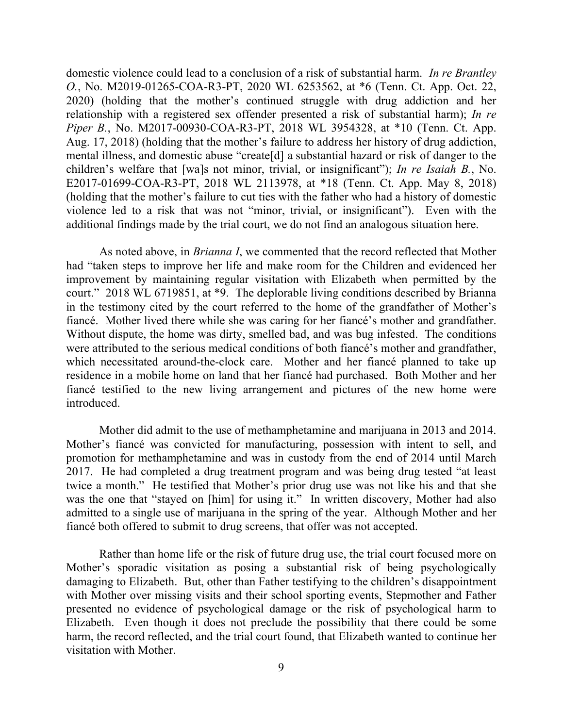domestic violence could lead to a conclusion of a risk of substantial harm. *In re Brantley O.*, No. M2019-01265-COA-R3-PT, 2020 WL 6253562, at \*6 (Tenn. Ct. App. Oct. 22, 2020) (holding that the mother's continued struggle with drug addiction and her relationship with a registered sex offender presented a risk of substantial harm); *In re Piper B.*, No. M2017-00930-COA-R3-PT, 2018 WL 3954328, at \*10 (Tenn. Ct. App. Aug. 17, 2018) (holding that the mother's failure to address her history of drug addiction, mental illness, and domestic abuse "create[d] a substantial hazard or risk of danger to the children's welfare that [wa]s not minor, trivial, or insignificant"); *In re Isaiah B.*, No. E2017-01699-COA-R3-PT, 2018 WL 2113978, at \*18 (Tenn. Ct. App. May 8, 2018) (holding that the mother's failure to cut ties with the father who had a history of domestic violence led to a risk that was not "minor, trivial, or insignificant"). Even with the additional findings made by the trial court, we do not find an analogous situation here.

As noted above, in *Brianna I*, we commented that the record reflected that Mother had "taken steps to improve her life and make room for the Children and evidenced her improvement by maintaining regular visitation with Elizabeth when permitted by the court." 2018 WL 6719851, at \*9. The deplorable living conditions described by Brianna in the testimony cited by the court referred to the home of the grandfather of Mother's fiancé. Mother lived there while she was caring for her fiancé's mother and grandfather. Without dispute, the home was dirty, smelled bad, and was bug infested. The conditions were attributed to the serious medical conditions of both fiancé's mother and grandfather, which necessitated around-the-clock care. Mother and her fiancé planned to take up residence in a mobile home on land that her fiancé had purchased. Both Mother and her fiancé testified to the new living arrangement and pictures of the new home were introduced.

Mother did admit to the use of methamphetamine and marijuana in 2013 and 2014. Mother's fiancé was convicted for manufacturing, possession with intent to sell, and promotion for methamphetamine and was in custody from the end of 2014 until March 2017. He had completed a drug treatment program and was being drug tested "at least twice a month." He testified that Mother's prior drug use was not like his and that she was the one that "stayed on [him] for using it." In written discovery, Mother had also admitted to a single use of marijuana in the spring of the year. Although Mother and her fiancé both offered to submit to drug screens, that offer was not accepted.

Rather than home life or the risk of future drug use, the trial court focused more on Mother's sporadic visitation as posing a substantial risk of being psychologically damaging to Elizabeth. But, other than Father testifying to the children's disappointment with Mother over missing visits and their school sporting events, Stepmother and Father presented no evidence of psychological damage or the risk of psychological harm to Elizabeth. Even though it does not preclude the possibility that there could be some harm, the record reflected, and the trial court found, that Elizabeth wanted to continue her visitation with Mother.